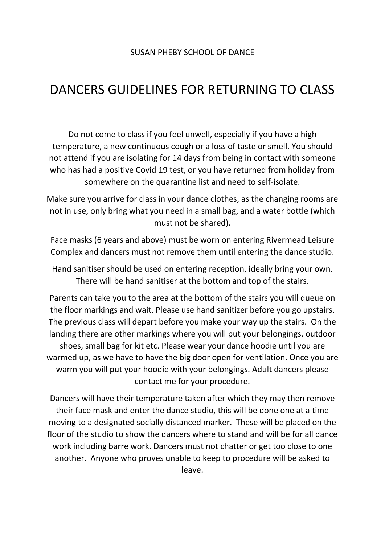## DANCERS GUIDELINES FOR RETURNING TO CLASS

Do not come to class if you feel unwell, especially if you have a high temperature, a new continuous cough or a loss of taste or smell. You should not attend if you are isolating for 14 days from being in contact with someone who has had a positive Covid 19 test, or you have returned from holiday from somewhere on the quarantine list and need to self-isolate.

Make sure you arrive for class in your dance clothes, as the changing rooms are not in use, only bring what you need in a small bag, and a water bottle (which must not be shared).

Face masks (6 years and above) must be worn on entering Rivermead Leisure Complex and dancers must not remove them until entering the dance studio.

Hand sanitiser should be used on entering reception, ideally bring your own. There will be hand sanitiser at the bottom and top of the stairs.

Parents can take you to the area at the bottom of the stairs you will queue on the floor markings and wait. Please use hand sanitizer before you go upstairs. The previous class will depart before you make your way up the stairs. On the landing there are other markings where you will put your belongings, outdoor shoes, small bag for kit etc. Please wear your dance hoodie until you are warmed up, as we have to have the big door open for ventilation. Once you are warm you will put your hoodie with your belongings. Adult dancers please contact me for your procedure.

Dancers will have their temperature taken after which they may then remove their face mask and enter the dance studio, this will be done one at a time moving to a designated socially distanced marker. These will be placed on the floor of the studio to show the dancers where to stand and will be for all dance work including barre work. Dancers must not chatter or get too close to one another. Anyone who proves unable to keep to procedure will be asked to leave.